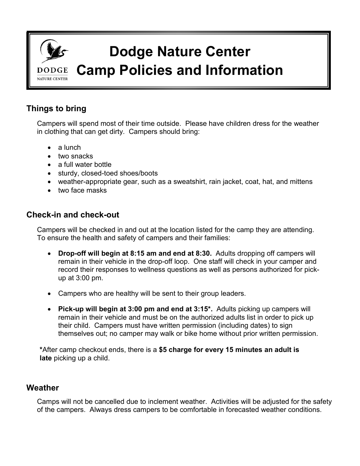

# **Things to bring**

Campers will spend most of their time outside. Please have children dress for the weather in clothing that can get dirty. Campers should bring:

- a lunch
- two snacks
- a full water bottle
- sturdy, closed-toed shoes/boots
- weather-appropriate gear, such as a sweatshirt, rain jacket, coat, hat, and mittens
- two face masks

#### **Check-in and check-out**

Campers will be checked in and out at the location listed for the camp they are attending. To ensure the health and safety of campers and their families:

- **Drop-off will begin at 8:15 am and end at 8:30.** Adults dropping off campers will remain in their vehicle in the drop-off loop. One staff will check in your camper and record their responses to wellness questions as well as persons authorized for pickup at 3:00 pm.
- Campers who are healthy will be sent to their group leaders.
- **Pick-up will begin at 3:00 pm and end at 3:15\*.** Adults picking up campers will remain in their vehicle and must be on the authorized adults list in order to pick up their child. Campers must have written permission (including dates) to sign themselves out; no camper may walk or bike home without prior written permission.

**\***After camp checkout ends, there is a **\$5 charge for every 15 minutes an adult is late** picking up a child.

#### **Weather**

Camps will not be cancelled due to inclement weather. Activities will be adjusted for the safety of the campers. Always dress campers to be comfortable in forecasted weather conditions.